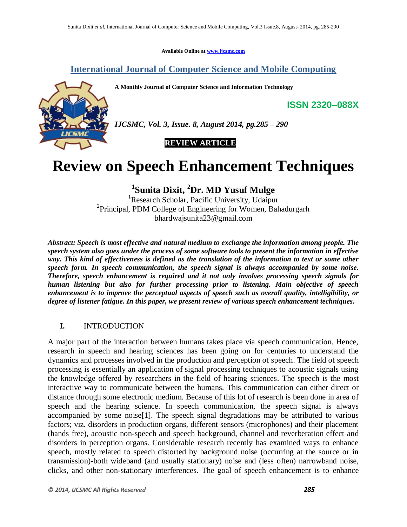**Available Online at www.ijcsmc.com**

## **International Journal of Computer Science and Mobile Computing**

**A Monthly Journal of Computer Science and Information Technology**



*IJCSMC, Vol. 3, Issue. 8, August 2014, pg.285 – 290*

 **REVIEW ARTICLE**

# **Review on Speech Enhancement Techniques**

**1 Sunita Dixit, <sup>2</sup>Dr. MD Yusuf Mulge**

<sup>1</sup>Research Scholar, Pacific University, Udaipur <sup>2</sup> Principal, PDM College of Engineering for Women, Bahadurgarh bhardwajsunita23@gmail.com

*Abstract: Speech is most effective and natural medium to exchange the information among people. The speech system also goes under the process of some software tools to present the information in effective way. This kind of effectiveness is defined as the translation of the information to text or some other speech form. In speech communication, the speech signal is always accompanied by some noise. Therefore, speech enhancement is required and it not only involves processing speech signals for human listening but also for further processing prior to listening. Main objective of speech enhancement is to improve the perceptual aspects of speech such as overall quality, intelligibility, or degree of listener fatigue. In this paper, we present review of various speech enhancement techniques.*

## **I.** INTRODUCTION

A major part of the interaction between humans takes place via speech communication. Hence, research in speech and hearing sciences has been going on for centuries to understand the dynamics and processes involved in the production and perception of speech. The field of speech processing is essentially an application of signal processing techniques to acoustic signals using the knowledge offered by researchers in the field of hearing sciences. The speech is the most interactive way to communicate between the humans. This communication can either direct or distance through some electronic medium. Because of this lot of research is been done in area of speech and the hearing science. In speech communication, the speech signal is always accompanied by some noise[1]. The speech signal degradations may be attributed to various factors; viz. disorders in production organs, different sensors (microphones) and their placement (hands free), acoustic non-speech and speech background, channel and reverberation effect and disorders in perception organs. Considerable research recently has examined ways to enhance speech, mostly related to speech distorted by background noise (occurring at the source or in transmission)-both wideband (and usually stationary) noise and (less often) narrowband noise, clicks, and other non-stationary interferences. The goal of speech enhancement is to enhance

**ISSN 2320–088X**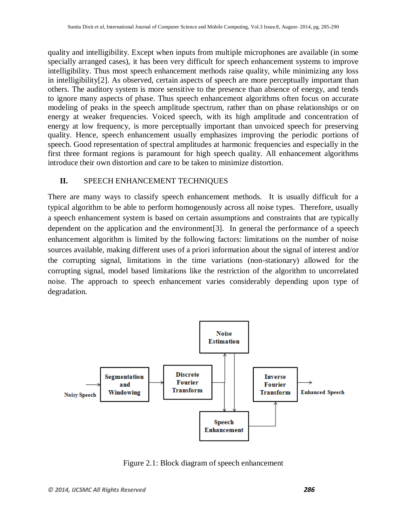quality and intelligibility. Except when inputs from multiple microphones are available (in some specially arranged cases), it has been very difficult for speech enhancement systems to improve intelligibility. Thus most speech enhancement methods raise quality, while minimizing any loss in intelligibility[2]. As observed, certain aspects of speech are more perceptually important than others. The auditory system is more sensitive to the presence than absence of energy, and tends to ignore many aspects of phase. Thus speech enhancement algorithms often focus on accurate modeling of peaks in the speech amplitude spectrum, rather than on phase relationships or on energy at weaker frequencies. Voiced speech, with its high amplitude and concentration of energy at low frequency, is more perceptually important than unvoiced speech for preserving quality. Hence, speech enhancement usually emphasizes improving the periodic portions of speech. Good representation of spectral amplitudes at harmonic frequencies and especially in the first three formant regions is paramount for high speech quality. All enhancement algorithms introduce their own distortion and care to be taken to minimize distortion.

#### **II.** SPEECH ENHANCEMENT TECHNIQUES

There are many ways to classify speech enhancement methods. It is usually difficult for a typical algorithm to be able to perform homogenously across all noise types. Therefore, usually a speech enhancement system is based on certain assumptions and constraints that are typically dependent on the application and the environment[3]. In general the performance of a speech enhancement algorithm is limited by the following factors: limitations on the number of noise sources available, making different uses of a priori information about the signal of interest and/or the corrupting signal, limitations in the time variations (non-stationary) allowed for the corrupting signal, model based limitations like the restriction of the algorithm to uncorrelated noise. The approach to speech enhancement varies considerably depending upon type of degradation.



Figure 2.1: Block diagram of speech enhancement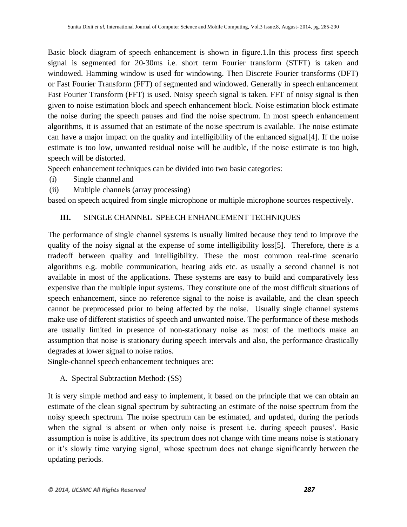Basic block diagram of speech enhancement is shown in figure.1.In this process first speech signal is segmented for 20-30ms i.e. short term Fourier transform (STFT) is taken and windowed. Hamming window is used for windowing. Then Discrete Fourier transforms (DFT) or Fast Fourier Transform (FFT) of segmented and windowed. Generally in speech enhancement Fast Fourier Transform (FFT) is used. Noisy speech signal is taken. FFT of noisy signal is then given to noise estimation block and speech enhancement block. Noise estimation block estimate the noise during the speech pauses and find the noise spectrum. In most speech enhancement algorithms, it is assumed that an estimate of the noise spectrum is available. The noise estimate can have a major impact on the quality and intelligibility of the enhanced signal[4]. If the noise estimate is too low, unwanted residual noise will be audible, if the noise estimate is too high, speech will be distorted.

Speech enhancement techniques can be divided into two basic categories:

- (i) Single channel and
- (ii) Multiple channels (array processing)

based on speech acquired from single microphone or multiple microphone sources respectively.

## **III.** SINGLE CHANNEL SPEECH ENHANCEMENT TECHNIQUES

The performance of single channel systems is usually limited because they tend to improve the quality of the noisy signal at the expense of some intelligibility loss[5]. Therefore, there is a tradeoff between quality and intelligibility. These the most common real-time scenario algorithms e.g. mobile communication, hearing aids etc. as usually a second channel is not available in most of the applications. These systems are easy to build and comparatively less expensive than the multiple input systems. They constitute one of the most difficult situations of speech enhancement, since no reference signal to the noise is available, and the clean speech cannot be preprocessed prior to being affected by the noise. Usually single channel systems make use of different statistics of speech and unwanted noise. The performance of these methods are usually limited in presence of non-stationary noise as most of the methods make an assumption that noise is stationary during speech intervals and also, the performance drastically degrades at lower signal to noise ratios.

Single-channel speech enhancement techniques are:

A. Spectral Subtraction Method: (SS)

It is very simple method and easy to implement, it based on the principle that we can obtain an estimate of the clean signal spectrum by subtracting an estimate of the noise spectrum from the noisy speech spectrum. The noise spectrum can be estimated, and updated, during the periods when the signal is absent or when only noise is present i.e. during speech pauses'. Basic assumption is noise is additive¸ its spectrum does not change with time means noise is stationary or it's slowly time varying signal¸ whose spectrum does not change significantly between the updating periods.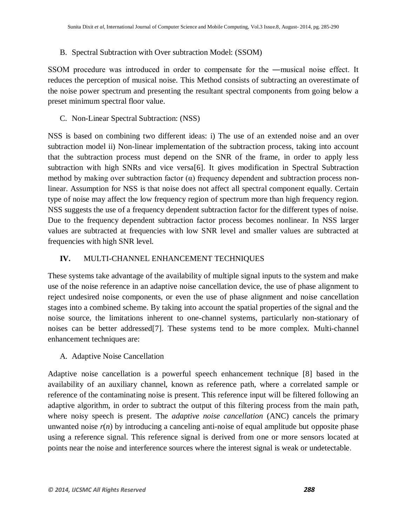#### B. Spectral Subtraction with Over subtraction Model: (SSOM)

SSOM procedure was introduced in order to compensate for the ―musical noise effect. It reduces the perception of musical noise. This Method consists of subtracting an overestimate of the noise power spectrum and presenting the resultant spectral components from going below a preset minimum spectral floor value.

## C. Non-Linear Spectral Subtraction: (NSS)

NSS is based on combining two different ideas: i) The use of an extended noise and an over subtraction model ii) Non-linear implementation of the subtraction process, taking into account that the subtraction process must depend on the SNR of the frame, in order to apply less subtraction with high SNRs and vice versa[6]. It gives modification in Spectral Subtraction method by making over subtraction factor  $(\alpha)$  frequency dependent and subtraction process nonlinear. Assumption for NSS is that noise does not affect all spectral component equally. Certain type of noise may affect the low frequency region of spectrum more than high frequency region. NSS suggests the use of a frequency dependent subtraction factor for the different types of noise. Due to the frequency dependent subtraction factor process becomes nonlinear. In NSS larger values are subtracted at frequencies with low SNR level and smaller values are subtracted at frequencies with high SNR level.

## **IV.** MULTI-CHANNEL ENHANCEMENT TECHNIQUES

These systems take advantage of the availability of multiple signal inputs to the system and make use of the noise reference in an adaptive noise cancellation device, the use of phase alignment to reject undesired noise components, or even the use of phase alignment and noise cancellation stages into a combined scheme. By taking into account the spatial properties of the signal and the noise source, the limitations inherent to one-channel systems, particularly non-stationary of noises can be better addressed[7]. These systems tend to be more complex. Multi-channel enhancement techniques are:

## A. Adaptive Noise Cancellation

Adaptive noise cancellation is a powerful speech enhancement technique [8] based in the availability of an auxiliary channel, known as reference path, where a correlated sample or reference of the contaminating noise is present. This reference input will be filtered following an adaptive algorithm, in order to subtract the output of this filtering process from the main path, where noisy speech is present. The *adaptive noise cancellation* (ANC) cancels the primary unwanted noise  $r(n)$  by introducing a canceling anti-noise of equal amplitude but opposite phase using a reference signal. This reference signal is derived from one or more sensors located at points near the noise and interference sources where the interest signal is weak or undetectable.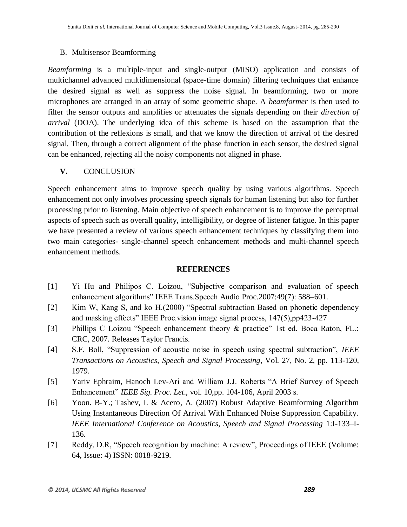#### B. Multisensor Beamforming

*Beamforming* is a multiple-input and single-output (MISO) application and consists of multichannel advanced multidimensional (space-time domain) filtering techniques that enhance the desired signal as well as suppress the noise signal. In beamforming, two or more microphones are arranged in an array of some geometric shape. A *beamformer* is then used to filter the sensor outputs and amplifies or attenuates the signals depending on their *direction of arrival* (DOA). The underlying idea of this scheme is based on the assumption that the contribution of the reflexions is small, and that we know the direction of arrival of the desired signal. Then, through a correct alignment of the phase function in each sensor, the desired signal can be enhanced, rejecting all the noisy components not aligned in phase.

#### **V.** CONCLUSION

Speech enhancement aims to improve speech quality by using various algorithms. Speech enhancement not only involves processing speech signals for human listening but also for further processing prior to listening. Main objective of speech enhancement is to improve the perceptual aspects of speech such as overall quality, intelligibility, or degree of listener fatigue. In this paper we have presented a review of various speech enhancement techniques by classifying them into two main categories- single-channel speech enhancement methods and multi-channel speech enhancement methods.

#### **REFERENCES**

- [1] Yi Hu and Philipos C. Loizou, "Subjective comparison and evaluation of speech enhancement algorithms" IEEE Trans.Speech Audio Proc.2007:49(7): 588–601.
- [2] Kim W, Kang S, and ko H.(2000) "Spectral subtraction Based on phonetic dependency and masking effects" IEEE Proc.vision image signal process, 147(5),pp423-427
- [3] Phillips C Loizou "Speech enhancement theory & practice" 1st ed. Boca Raton, FL.: CRC, 2007. Releases Taylor Francis.
- [4] S.F. Boll, "Suppression of acoustic noise in speech using spectral subtraction", *IEEE Transactions on Acoustics, Speech and Signal Processing*, Vol. 27, No. 2, pp. 113-120, 1979.
- [5] Yariv Ephraim, Hanoch Lev-Ari and William J.J. Roberts "A Brief Survey of Speech Enhancement" *IEEE Sig. Proc. Let*., vol. 10,pp. 104-106, April 2003 s.
- [6] Yoon. B-Y.; Tashev, I. & Acero, A. (2007) Robust Adaptive Beamforming Algorithm Using Instantaneous Direction Of Arrival With Enhanced Noise Suppression Capability. *IEEE International Conference on Acoustics, Speech and Signal Processing* 1:I-133–I-136.
- [7] Reddy, D.R, "Speech recognition by machine: A review", Proceedings of IEEE (Volume: 64, Issue: 4) ISSN: 0018-9219.